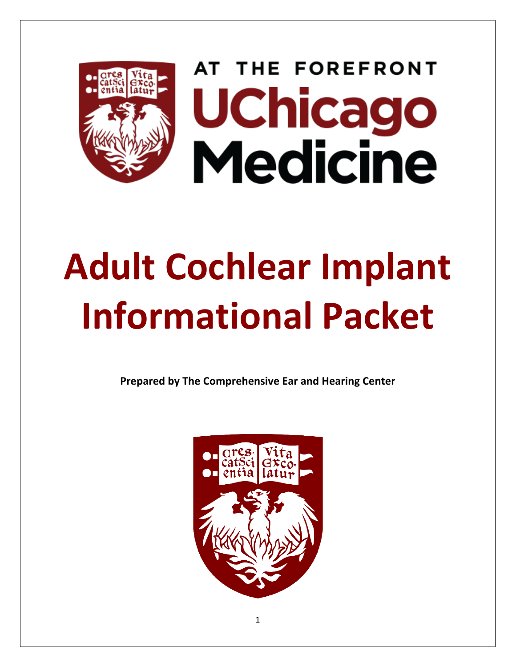

AT THE FOREFRONT **UChicago Medicine** 

# **Adult Cochlear Implant Informational Packet**

**Prepared by The Comprehensive Ear and Hearing Center** 



1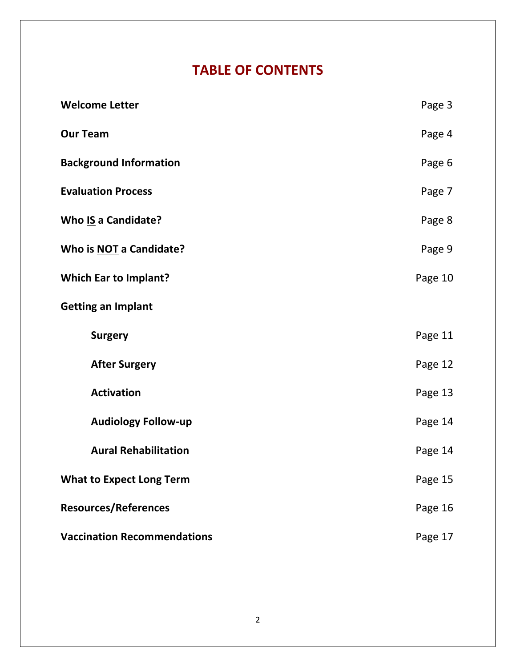## **TABLE OF CONTENTS**

| <b>Welcome Letter</b>              | Page 3  |
|------------------------------------|---------|
| <b>Our Team</b>                    | Page 4  |
| <b>Background Information</b>      | Page 6  |
| <b>Evaluation Process</b>          | Page 7  |
| <b>Who IS a Candidate?</b>         | Page 8  |
| Who is NOT a Candidate?            | Page 9  |
| <b>Which Ear to Implant?</b>       | Page 10 |
| <b>Getting an Implant</b>          |         |
| <b>Surgery</b>                     | Page 11 |
| <b>After Surgery</b>               | Page 12 |
| <b>Activation</b>                  | Page 13 |
| <b>Audiology Follow-up</b>         | Page 14 |
| <b>Aural Rehabilitation</b>        | Page 14 |
| <b>What to Expect Long Term</b>    | Page 15 |
| <b>Resources/References</b>        | Page 16 |
| <b>Vaccination Recommendations</b> | Page 17 |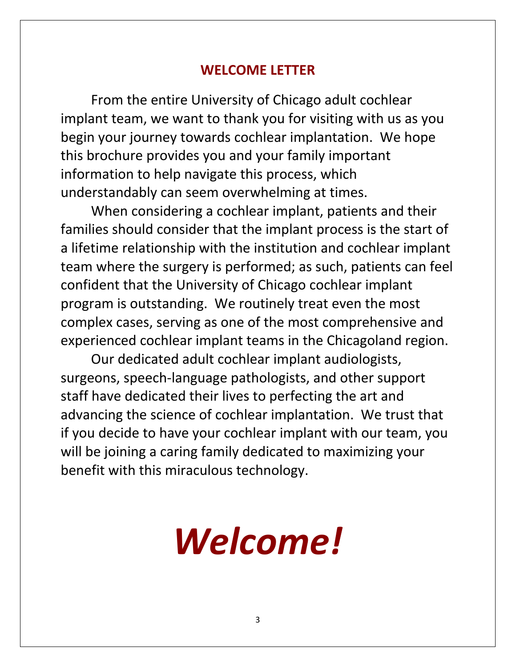#### **WELCOME LETTER**

From the entire University of Chicago adult cochlear implant team, we want to thank you for visiting with us as you begin your journey towards cochlear implantation. We hope this brochure provides you and your family important information to help navigate this process, which understandably can seem overwhelming at times.

When considering a cochlear implant, patients and their families should consider that the implant process is the start of a lifetime relationship with the institution and cochlear implant team where the surgery is performed; as such, patients can feel confident that the University of Chicago cochlear implant program is outstanding. We routinely treat even the most complex cases, serving as one of the most comprehensive and experienced cochlear implant teams in the Chicagoland region.

Our dedicated adult cochlear implant audiologists, surgeons, speech-language pathologists, and other support staff have dedicated their lives to perfecting the art and advancing the science of cochlear implantation. We trust that if you decide to have your cochlear implant with our team, you will be joining a caring family dedicated to maximizing your benefit with this miraculous technology.

## *Welcome!*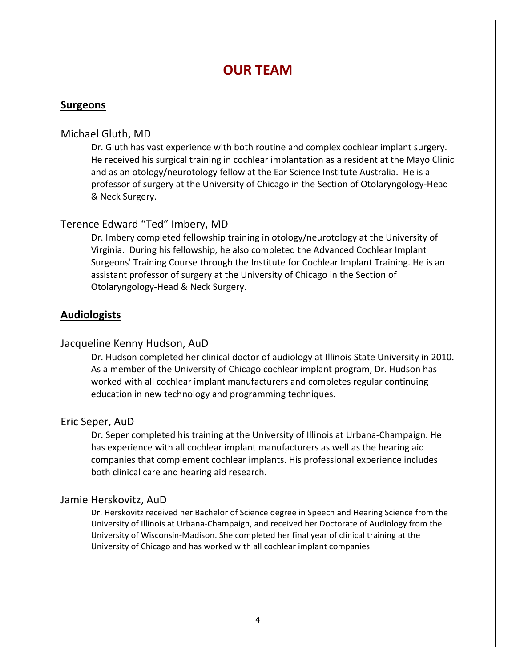#### **OUR TEAM**

#### **Surgeons**

#### Michael Gluth, MD

Dr. Gluth has vast experience with both routine and complex cochlear implant surgery. He received his surgical training in cochlear implantation as a resident at the Mayo Clinic and as an otology/neurotology fellow at the Ear Science Institute Australia. He is a professor of surgery at the University of Chicago in the Section of Otolaryngology-Head & Neck Surgery.

#### Terence Edward "Ted" Imbery, MD

Dr. Imbery completed fellowship training in otology/neurotology at the University of Virginia. During his fellowship, he also completed the Advanced Cochlear Implant Surgeons' Training Course through the Institute for Cochlear Implant Training. He is an assistant professor of surgery at the University of Chicago in the Section of Otolaryngology-Head & Neck Surgery.

#### **Audiologists**

#### Jacqueline Kenny Hudson, AuD

Dr. Hudson completed her clinical doctor of audiology at Illinois State University in 2010. As a member of the University of Chicago cochlear implant program, Dr. Hudson has worked with all cochlear implant manufacturers and completes regular continuing education in new technology and programming techniques.

#### Eric Seper, AuD

Dr. Seper completed his training at the University of Illinois at Urbana-Champaign. He has experience with all cochlear implant manufacturers as well as the hearing aid companies that complement cochlear implants. His professional experience includes both clinical care and hearing aid research.

#### Jamie Herskovitz, AuD

Dr. Herskovitz received her Bachelor of Science degree in Speech and Hearing Science from the University of Illinois at Urbana-Champaign, and received her Doctorate of Audiology from the University of Wisconsin-Madison. She completed her final year of clinical training at the University of Chicago and has worked with all cochlear implant companies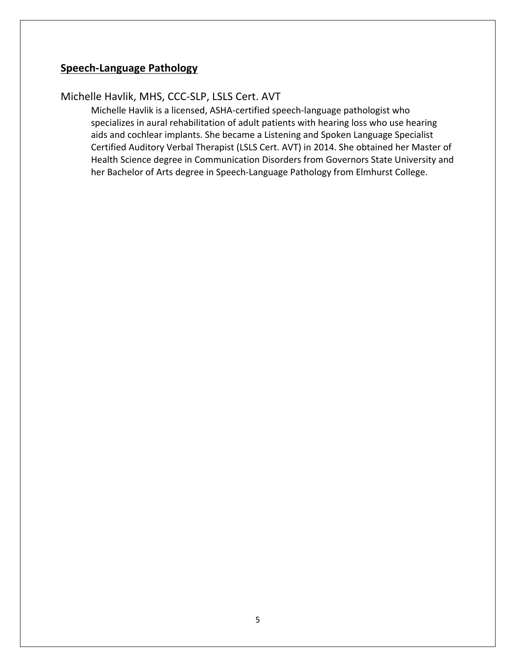#### **Speech-Language Pathology**

#### Michelle Havlik, MHS, CCC-SLP, LSLS Cert. AVT

Michelle Havlik is a licensed, ASHA-certified speech-language pathologist who specializes in aural rehabilitation of adult patients with hearing loss who use hearing aids and cochlear implants. She became a Listening and Spoken Language Specialist Certified Auditory Verbal Therapist (LSLS Cert. AVT) in 2014. She obtained her Master of Health Science degree in Communication Disorders from Governors State University and her Bachelor of Arts degree in Speech-Language Pathology from Elmhurst College.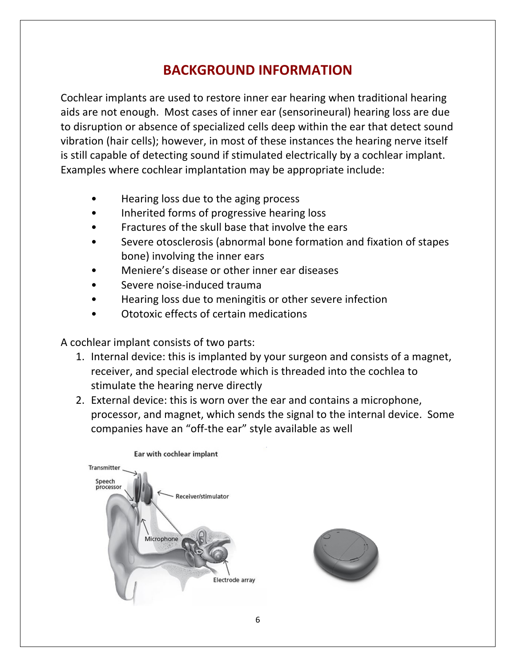## **BACKGROUND INFORMATION**

Cochlear implants are used to restore inner ear hearing when traditional hearing aids are not enough. Most cases of inner ear (sensorineural) hearing loss are due to disruption or absence of specialized cells deep within the ear that detect sound vibration (hair cells); however, in most of these instances the hearing nerve itself is still capable of detecting sound if stimulated electrically by a cochlear implant. Examples where cochlear implantation may be appropriate include:

- Hearing loss due to the aging process
- Inherited forms of progressive hearing loss
- Fractures of the skull base that involve the ears
- Severe otosclerosis (abnormal bone formation and fixation of stapes bone) involving the inner ears
- Meniere's disease or other inner ear diseases
- Severe noise-induced trauma
- Hearing loss due to meningitis or other severe infection
- Ototoxic effects of certain medications

A cochlear implant consists of two parts:

- 1. Internal device: this is implanted by your surgeon and consists of a magnet, receiver, and special electrode which is threaded into the cochlea to stimulate the hearing nerve directly
- 2. External device: this is worn over the ear and contains a microphone, processor, and magnet, which sends the signal to the internal device. Some companies have an "off-the ear" style available as well



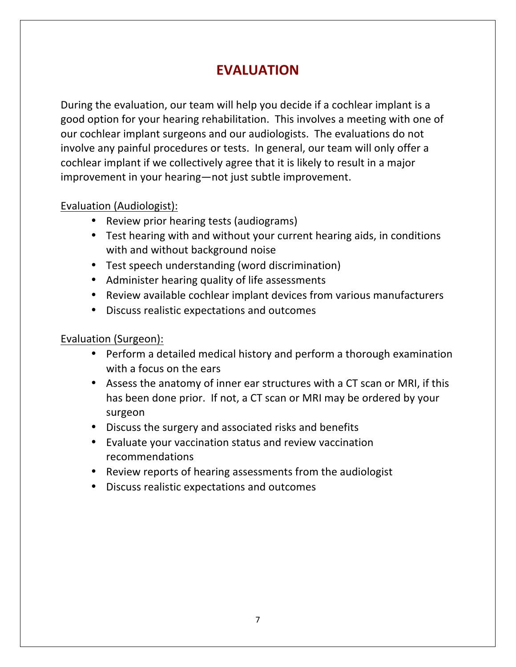## **EVALUATION**

During the evaluation, our team will help you decide if a cochlear implant is a good option for your hearing rehabilitation. This involves a meeting with one of our cochlear implant surgeons and our audiologists. The evaluations do not involve any painful procedures or tests. In general, our team will only offer a cochlear implant if we collectively agree that it is likely to result in a major improvement in your hearing—not just subtle improvement.

#### Evaluation (Audiologist):

- Review prior hearing tests (audiograms)
- Test hearing with and without your current hearing aids, in conditions with and without background noise
- Test speech understanding (word discrimination)
- Administer hearing quality of life assessments
- Review available cochlear implant devices from various manufacturers
- Discuss realistic expectations and outcomes

#### Evaluation (Surgeon):

- Perform a detailed medical history and perform a thorough examination with a focus on the ears
- Assess the anatomy of inner ear structures with a CT scan or MRI, if this has been done prior. If not, a CT scan or MRI may be ordered by your surgeon
- Discuss the surgery and associated risks and benefits
- Evaluate your vaccination status and review vaccination recommendations
- Review reports of hearing assessments from the audiologist
- Discuss realistic expectations and outcomes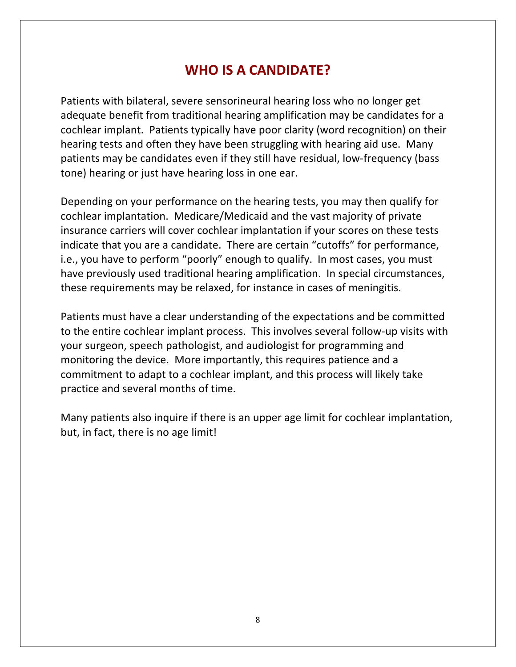#### **WHO IS A CANDIDATE?**

Patients with bilateral, severe sensorineural hearing loss who no longer get adequate benefit from traditional hearing amplification may be candidates for a cochlear implant. Patients typically have poor clarity (word recognition) on their hearing tests and often they have been struggling with hearing aid use. Many patients may be candidates even if they still have residual, low-frequency (bass tone) hearing or just have hearing loss in one ear.

Depending on your performance on the hearing tests, you may then qualify for cochlear implantation. Medicare/Medicaid and the vast majority of private insurance carriers will cover cochlear implantation if your scores on these tests indicate that you are a candidate. There are certain "cutoffs" for performance, i.e., you have to perform "poorly" enough to qualify. In most cases, you must have previously used traditional hearing amplification. In special circumstances, these requirements may be relaxed, for instance in cases of meningitis.

Patients must have a clear understanding of the expectations and be committed to the entire cochlear implant process. This involves several follow-up visits with your surgeon, speech pathologist, and audiologist for programming and monitoring the device. More importantly, this requires patience and a commitment to adapt to a cochlear implant, and this process will likely take practice and several months of time.

Many patients also inquire if there is an upper age limit for cochlear implantation, but, in fact, there is no age limit!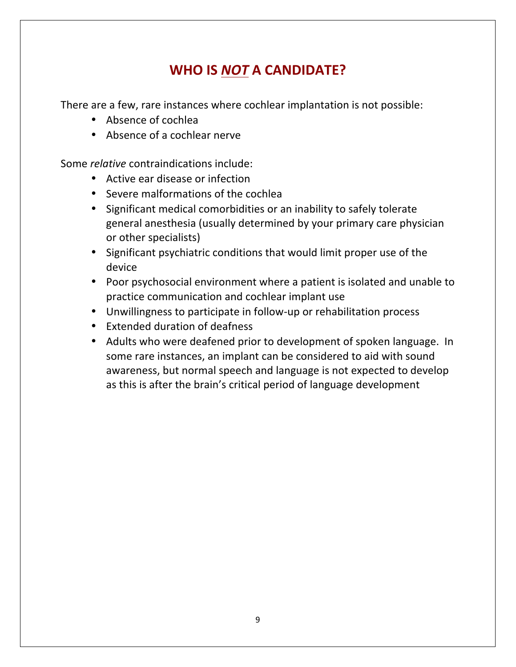## **WHO IS NOT A CANDIDATE?**

There are a few, rare instances where cochlear implantation is not possible:

- Absence of cochlea
- Absence of a cochlear nerve

Some *relative* contraindications include:

- Active ear disease or infection
- Severe malformations of the cochlea
- Significant medical comorbidities or an inability to safely tolerate general anesthesia (usually determined by your primary care physician or other specialists)
- Significant psychiatric conditions that would limit proper use of the device
- Poor psychosocial environment where a patient is isolated and unable to practice communication and cochlear implant use
- Unwillingness to participate in follow-up or rehabilitation process
- Extended duration of deafness
- Adults who were deafened prior to development of spoken language. In some rare instances, an implant can be considered to aid with sound awareness, but normal speech and language is not expected to develop as this is after the brain's critical period of language development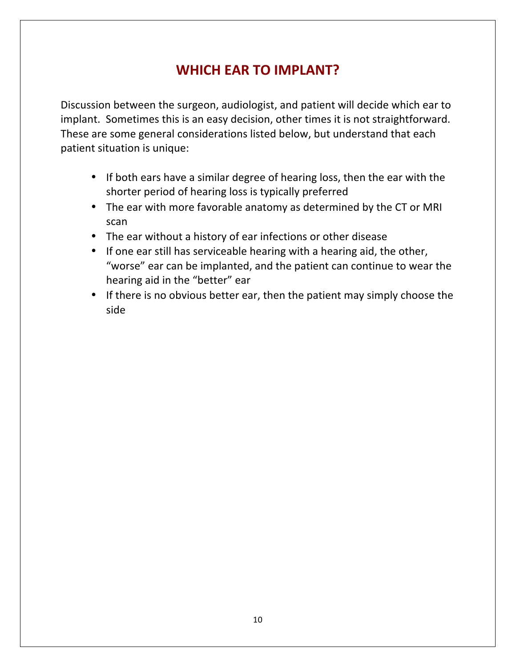## **WHICH EAR TO IMPLANT?**

Discussion between the surgeon, audiologist, and patient will decide which ear to implant. Sometimes this is an easy decision, other times it is not straightforward. These are some general considerations listed below, but understand that each patient situation is unique:

- If both ears have a similar degree of hearing loss, then the ear with the shorter period of hearing loss is typically preferred
- The ear with more favorable anatomy as determined by the CT or MRI scan
- The ear without a history of ear infections or other disease
- If one ear still has serviceable hearing with a hearing aid, the other, "worse" ear can be implanted, and the patient can continue to wear the hearing aid in the "better" ear
- If there is no obvious better ear, then the patient may simply choose the side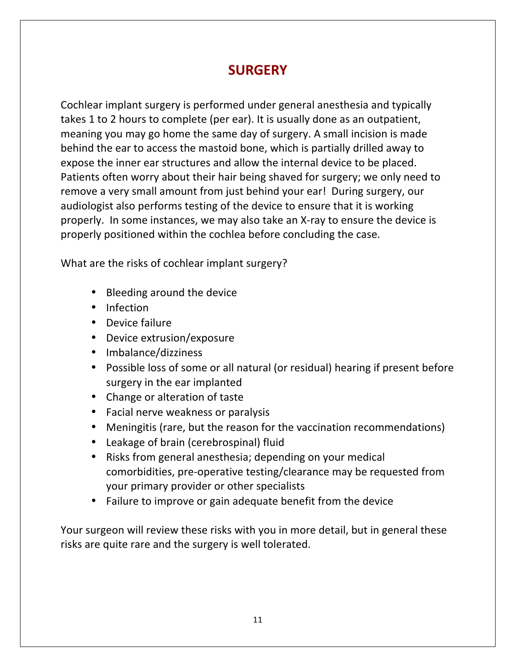## **SURGERY**

Cochlear implant surgery is performed under general anesthesia and typically takes 1 to 2 hours to complete (per ear). It is usually done as an outpatient, meaning you may go home the same day of surgery. A small incision is made behind the ear to access the mastoid bone, which is partially drilled away to expose the inner ear structures and allow the internal device to be placed. Patients often worry about their hair being shaved for surgery; we only need to remove a very small amount from just behind your ear! During surgery, our audiologist also performs testing of the device to ensure that it is working properly. In some instances, we may also take an X-ray to ensure the device is properly positioned within the cochlea before concluding the case.

What are the risks of cochlear implant surgery?

- Bleeding around the device
- Infection
- Device failure
- Device extrusion/exposure
- Imbalance/dizziness
- Possible loss of some or all natural (or residual) hearing if present before surgery in the ear implanted
- Change or alteration of taste
- Facial nerve weakness or paralysis
- Meningitis (rare, but the reason for the vaccination recommendations)
- Leakage of brain (cerebrospinal) fluid
- Risks from general anesthesia; depending on your medical comorbidities, pre-operative testing/clearance may be requested from your primary provider or other specialists
- Failure to improve or gain adequate benefit from the device

Your surgeon will review these risks with you in more detail, but in general these risks are quite rare and the surgery is well tolerated.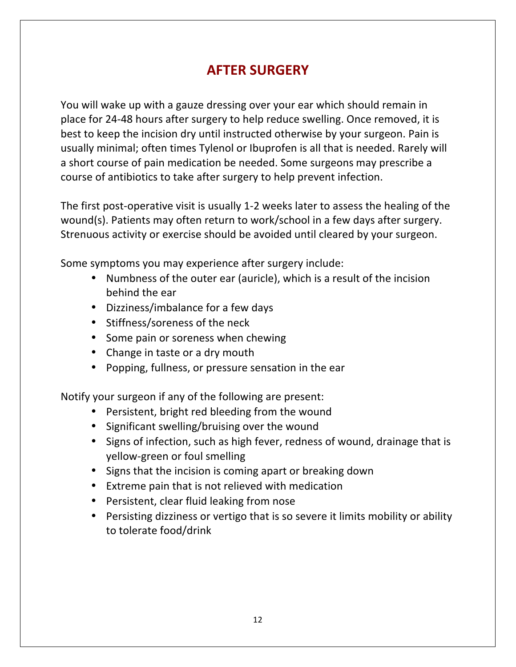## **AFTER SURGERY**

You will wake up with a gauze dressing over your ear which should remain in place for 24-48 hours after surgery to help reduce swelling. Once removed, it is best to keep the incision dry until instructed otherwise by your surgeon. Pain is usually minimal; often times Tylenol or Ibuprofen is all that is needed. Rarely will a short course of pain medication be needed. Some surgeons may prescribe a course of antibiotics to take after surgery to help prevent infection.

The first post-operative visit is usually 1-2 weeks later to assess the healing of the wound(s). Patients may often return to work/school in a few days after surgery. Strenuous activity or exercise should be avoided until cleared by your surgeon.

Some symptoms you may experience after surgery include:

- Numbness of the outer ear (auricle), which is a result of the incision behind the ear
- Dizziness/imbalance for a few days
- Stiffness/soreness of the neck
- Some pain or soreness when chewing
- Change in taste or a dry mouth
- Popping, fullness, or pressure sensation in the ear

Notify your surgeon if any of the following are present:

- Persistent, bright red bleeding from the wound
- Significant swelling/bruising over the wound
- Signs of infection, such as high fever, redness of wound, drainage that is yellow-green or foul smelling
- Signs that the incision is coming apart or breaking down
- Extreme pain that is not relieved with medication
- Persistent, clear fluid leaking from nose
- Persisting dizziness or vertigo that is so severe it limits mobility or ability to tolerate food/drink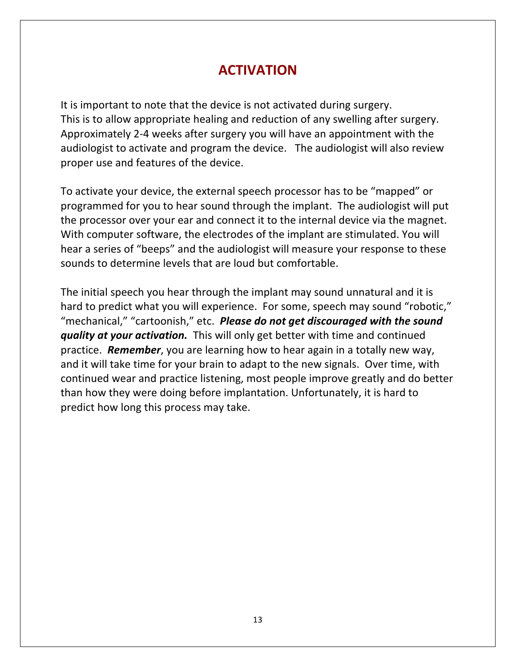#### **ACTIVATION**

It is important to note that the device is not activated during surgery. This is to allow appropriate healing and reduction of any swelling after surgery. Approximately 2-4 weeks after surgery you will have an appointment with the audiologist to activate and program the device. The audiologist will also review proper use and features of the device.

To activate your device, the external speech processor has to be "mapped" or programmed for you to hear sound through the implant. The audiologist will put the processor over your ear and connect it to the internal device via the magnet. With computer software, the electrodes of the implant are stimulated. You will hear a series of "beeps" and the audiologist will measure your response to these sounds to determine levels that are loud but comfortable.

The initial speech you hear through the implant may sound unnatural and it is hard to predict what you will experience. For some, speech may sound "robotic," "mechanical," "cartoonish," etc. **Please do not get discouraged with the sound** *quality at your activation.* This will only get better with time and continued practice. **Remember**, you are learning how to hear again in a totally new way, and it will take time for your brain to adapt to the new signals. Over time, with continued wear and practice listening, most people improve greatly and do better than how they were doing before implantation. Unfortunately, it is hard to predict how long this process may take.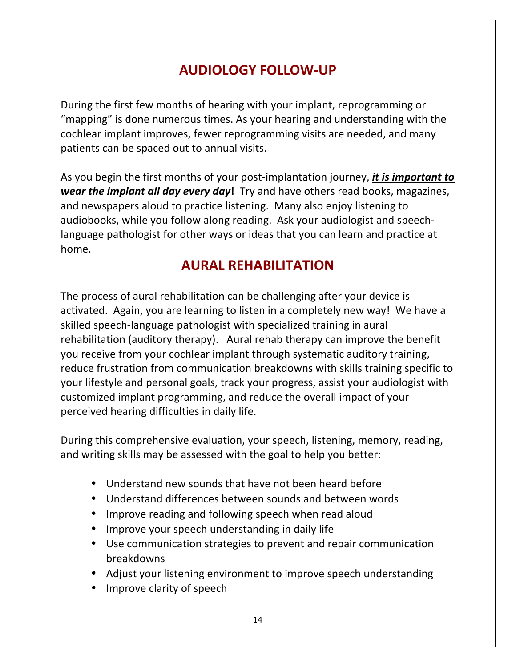## **AUDIOLOGY FOLLOW-UP**

During the first few months of hearing with your implant, reprogramming or "mapping" is done numerous times. As your hearing and understanding with the cochlear implant improves, fewer reprogramming visits are needed, and many patients can be spaced out to annual visits.

As you begin the first months of your post-implantation journey, *it is important to wear the implant all day every day!* Try and have others read books, magazines, and newspapers aloud to practice listening. Many also enjoy listening to audiobooks, while you follow along reading. Ask your audiologist and speechlanguage pathologist for other ways or ideas that you can learn and practice at home.

#### **AURAL REHABILITATION**

The process of aural rehabilitation can be challenging after your device is activated. Again, you are learning to listen in a completely new way! We have a skilled speech-language pathologist with specialized training in aural rehabilitation (auditory therapy). Aural rehab therapy can improve the benefit you receive from your cochlear implant through systematic auditory training, reduce frustration from communication breakdowns with skills training specific to your lifestyle and personal goals, track your progress, assist your audiologist with customized implant programming, and reduce the overall impact of your perceived hearing difficulties in daily life.

During this comprehensive evaluation, your speech, listening, memory, reading, and writing skills may be assessed with the goal to help you better:

- Understand new sounds that have not been heard before
- Understand differences between sounds and between words
- Improve reading and following speech when read aloud
- Improve your speech understanding in daily life
- Use communication strategies to prevent and repair communication breakdowns
- Adjust your listening environment to improve speech understanding
- Improve clarity of speech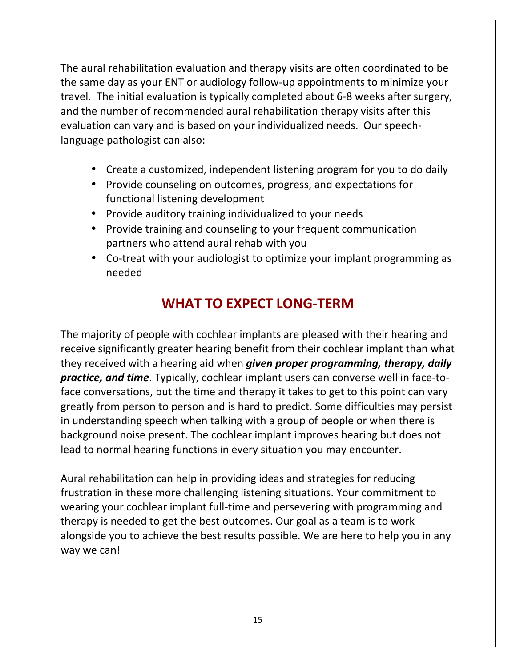The aural rehabilitation evaluation and therapy visits are often coordinated to be the same day as your ENT or audiology follow-up appointments to minimize your travel. The initial evaluation is typically completed about 6-8 weeks after surgery, and the number of recommended aural rehabilitation therapy visits after this evaluation can vary and is based on your individualized needs. Our speechlanguage pathologist can also:

- Create a customized, independent listening program for you to do daily
- Provide counseling on outcomes, progress, and expectations for functional listening development
- Provide auditory training individualized to your needs
- Provide training and counseling to your frequent communication partners who attend aural rehab with you
- Co-treat with your audiologist to optimize your implant programming as needed

## **WHAT TO EXPECT LONG-TERM**

The majority of people with cochlear implants are pleased with their hearing and receive significantly greater hearing benefit from their cochlear implant than what they received with a hearing aid when *given proper programming, therapy, daily* **practice, and time**. Typically, cochlear implant users can converse well in face-toface conversations, but the time and therapy it takes to get to this point can vary greatly from person to person and is hard to predict. Some difficulties may persist in understanding speech when talking with a group of people or when there is background noise present. The cochlear implant improves hearing but does not lead to normal hearing functions in every situation you may encounter.

Aural rehabilitation can help in providing ideas and strategies for reducing frustration in these more challenging listening situations. Your commitment to wearing your cochlear implant full-time and persevering with programming and therapy is needed to get the best outcomes. Our goal as a team is to work alongside you to achieve the best results possible. We are here to help you in any way we can!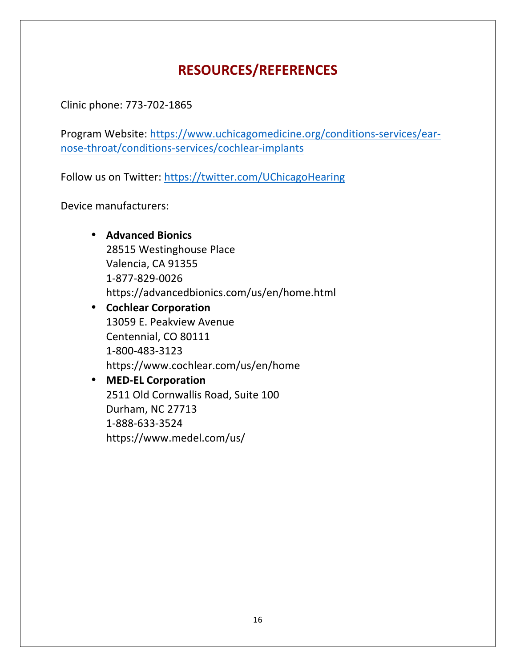## **RESOURCES/REFERENCES**

Clinic phone: 773-702-1865

Program Website: https://www.uchicagomedicine.org/conditions-services/earnose-throat/conditions-services/cochlear-implants

Follow us on Twitter: https://twitter.com/UChicagoHearing

Device manufacturers:

• **Advanced Bionics** 28515 Westinghouse Place Valencia, CA 91355 1-877-829-0026 https://advancedbionics.com/us/en/home.html • **Cochlear Corporation** 13059 E. Peakview Avenue Centennial, CO 80111 1-800-483-3123 https://www.cochlear.com/us/en/home • **MED-EL Corporation**

2511 Old Cornwallis Road, Suite 100 Durham, NC 27713 1-888-633-3524 https://www.medel.com/us/